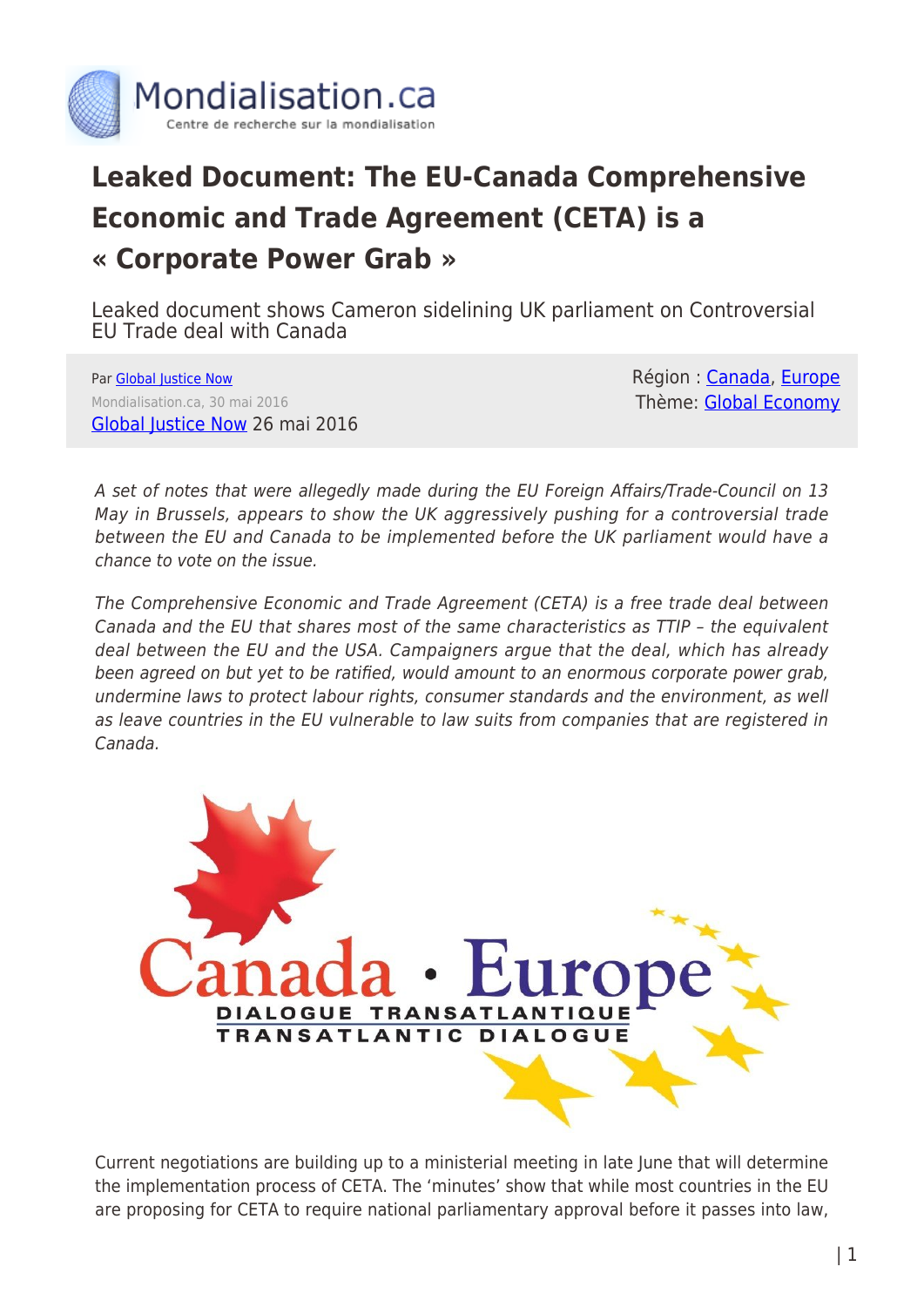

## **Leaked Document: The EU-Canada Comprehensive Economic and Trade Agreement (CETA) is a « Corporate Power Grab »**

Leaked document shows Cameron sidelining UK parliament on Controversial EU Trade deal with Canada

Par [Global Justice Now](https://www.mondialisation.ca/author/global-justice-now) Mondialisation.ca, 30 mai 2016 [Global Justice Now](http://www.globaljustice.org.uk/news/2016/may/26/leaked-document-shows-cameron-sidelining-uk-parliament-controversial-eu-trade-deal) 26 mai 2016 Région : [Canada](https://www.mondialisation.ca/region/canada), [Europe](https://www.mondialisation.ca/region/europe) Thème: [Global Economy](https://www.mondialisation.ca/theme/global-economy)

A set of notes that were allegedly made during the EU Foreign Affairs/Trade-Council on 13 May in Brussels, appears to show the UK aggressively pushing for a controversial trade between the EU and Canada to be implemented before the UK parliament would have a chance to vote on the issue.

The Comprehensive Economic and Trade Agreement (CETA) is a free trade deal between Canada and the EU that shares most of the same characteristics as TTIP – the equivalent deal between the EU and the USA. Campaigners argue that the deal, which has already been agreed on but yet to be ratified, would amount to an enormous corporate power grab, undermine laws to protect labour rights, consumer standards and the environment, as well as leave countries in the EU vulnerable to law suits from companies that are registered in Canada.



Current negotiations are building up to a ministerial meeting in late June that will determine the implementation process of CETA. The 'minutes' show that while most countries in the EU are proposing for CETA to require national parliamentary approval before it passes into law,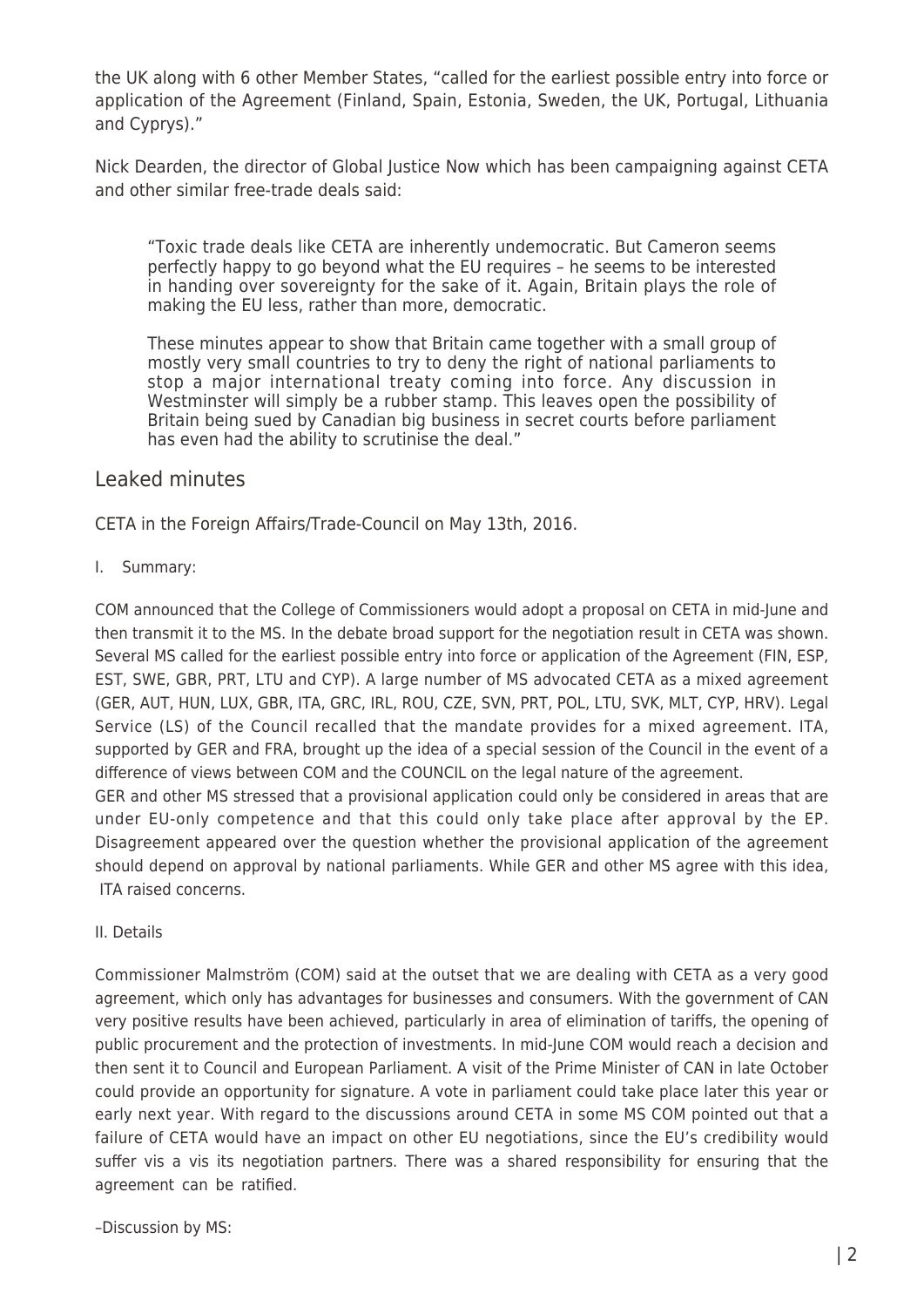the UK along with 6 other Member States, "called for the earliest possible entry into force or application of the Agreement (Finland, Spain, Estonia, Sweden, the UK, Portugal, Lithuania and Cyprys)."

Nick Dearden, the director of Global Justice Now which has been campaigning against CETA and other similar free-trade deals said:

"Toxic trade deals like CETA are inherently undemocratic. But Cameron seems perfectly happy to go beyond what the EU requires – he seems to be interested in handing over sovereignty for the sake of it. Again, Britain plays the role of making the EU less, rather than more, democratic.

These minutes appear to show that Britain came together with a small group of mostly very small countries to try to deny the right of national parliaments to stop a major international treaty coming into force. Any discussion in Westminster will simply be a rubber stamp. This leaves open the possibility of Britain being sued by Canadian big business in secret courts before parliament has even had the ability to scrutinise the deal."

## Leaked minutes

CETA in the Foreign Affairs/Trade-Council on May 13th, 2016.

I. Summary:

COM announced that the College of Commissioners would adopt a proposal on CETA in mid-June and then transmit it to the MS. In the debate broad support for the negotiation result in CETA was shown. Several MS called for the earliest possible entry into force or application of the Agreement (FIN, ESP, EST, SWE, GBR, PRT, LTU and CYP). A large number of MS advocated CETA as a mixed agreement (GER, AUT, HUN, LUX, GBR, ITA, GRC, IRL, ROU, CZE, SVN, PRT, POL, LTU, SVK, MLT, CYP, HRV). Legal Service (LS) of the Council recalled that the mandate provides for a mixed agreement. ITA, supported by GER and FRA, brought up the idea of a special session of the Council in the event of a difference of views between COM and the COUNCIL on the legal nature of the agreement. GER and other MS stressed that a provisional application could only be considered in areas that are under EU-only competence and that this could only take place after approval by the EP. Disagreement appeared over the question whether the provisional application of the agreement should depend on approval by national parliaments. While GER and other MS agree with this idea, ITA raised concerns.

II. Details

Commissioner Malmström (COM) said at the outset that we are dealing with CETA as a very good agreement, which only has advantages for businesses and consumers. With the government of CAN very positive results have been achieved, particularly in area of elimination of tariffs, the opening of public procurement and the protection of investments. In mid-June COM would reach a decision and then sent it to Council and European Parliament. A visit of the Prime Minister of CAN in late October could provide an opportunity for signature. A vote in parliament could take place later this year or early next year. With regard to the discussions around CETA in some MS COM pointed out that a failure of CETA would have an impact on other EU negotiations, since the EU's credibility would suffer vis a vis its negotiation partners. There was a shared responsibility for ensuring that the agreement can be ratified.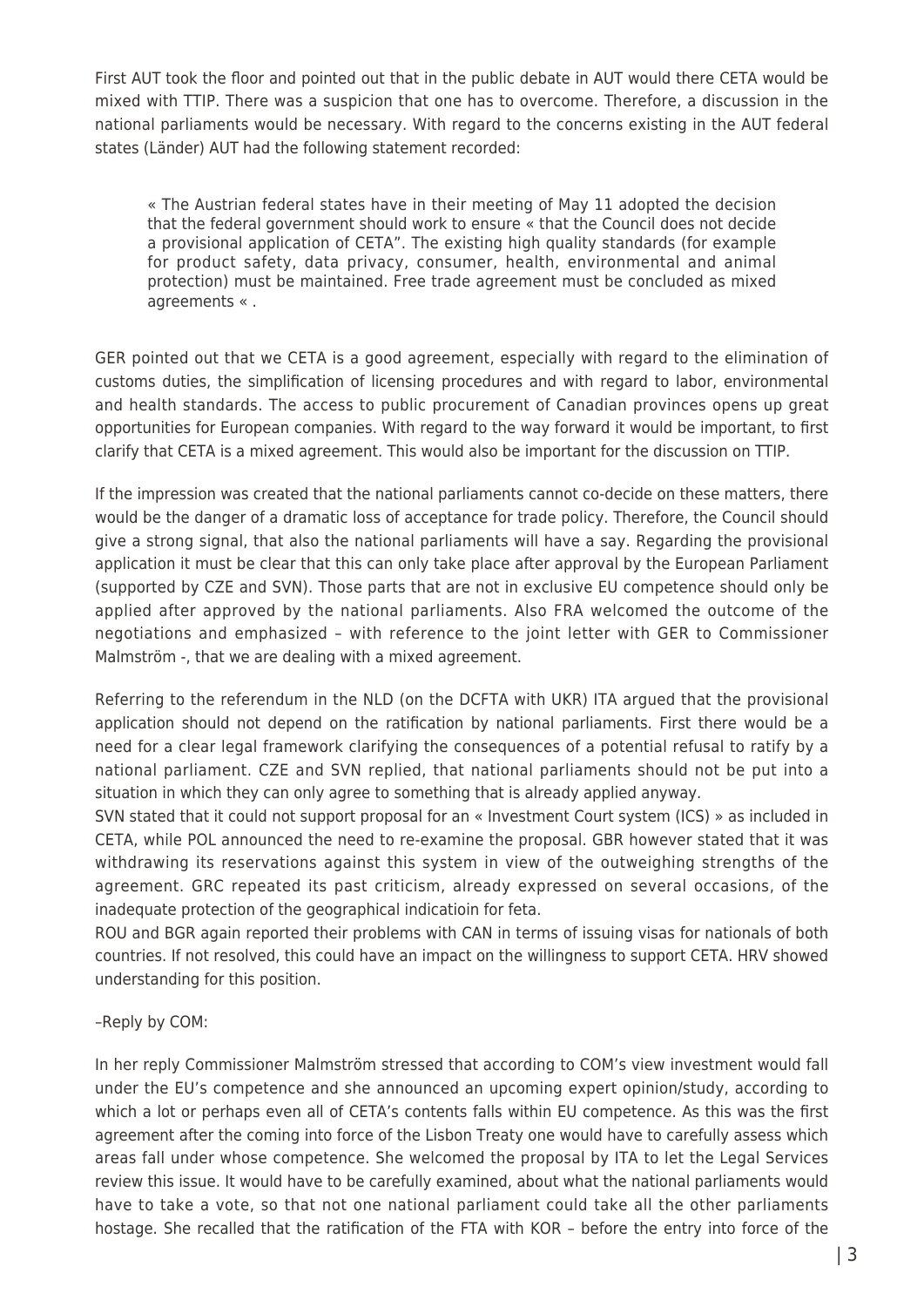First AUT took the floor and pointed out that in the public debate in AUT would there CETA would be mixed with TTIP. There was a suspicion that one has to overcome. Therefore, a discussion in the national parliaments would be necessary. With regard to the concerns existing in the AUT federal states (Länder) AUT had the following statement recorded:

« The Austrian federal states have in their meeting of May 11 adopted the decision that the federal government should work to ensure « that the Council does not decide a provisional application of CETA". The existing high quality standards (for example for product safety, data privacy, consumer, health, environmental and animal protection) must be maintained. Free trade agreement must be concluded as mixed agreements « .

GER pointed out that we CETA is a good agreement, especially with regard to the elimination of customs duties, the simplification of licensing procedures and with regard to labor, environmental and health standards. The access to public procurement of Canadian provinces opens up great opportunities for European companies. With regard to the way forward it would be important, to first clarify that CETA is a mixed agreement. This would also be important for the discussion on TTIP.

If the impression was created that the national parliaments cannot co-decide on these matters, there would be the danger of a dramatic loss of acceptance for trade policy. Therefore, the Council should give a strong signal, that also the national parliaments will have a say. Regarding the provisional application it must be clear that this can only take place after approval by the European Parliament (supported by CZE and SVN). Those parts that are not in exclusive EU competence should only be applied after approved by the national parliaments. Also FRA welcomed the outcome of the negotiations and emphasized – with reference to the joint letter with GER to Commissioner Malmström -, that we are dealing with a mixed agreement.

Referring to the referendum in the NLD (on the DCFTA with UKR) ITA argued that the provisional application should not depend on the ratification by national parliaments. First there would be a need for a clear legal framework clarifying the consequences of a potential refusal to ratify by a national parliament. CZE and SVN replied, that national parliaments should not be put into a situation in which they can only agree to something that is already applied anyway.

SVN stated that it could not support proposal for an « Investment Court system (ICS) » as included in CETA, while POL announced the need to re-examine the proposal. GBR however stated that it was withdrawing its reservations against this system in view of the outweighing strengths of the agreement. GRC repeated its past criticism, already expressed on several occasions, of the inadequate protection of the geographical indicatioin for feta.

ROU and BGR again reported their problems with CAN in terms of issuing visas for nationals of both countries. If not resolved, this could have an impact on the willingness to support CETA. HRV showed understanding for this position.

## –Reply by COM:

In her reply Commissioner Malmström stressed that according to COM's view investment would fall under the EU's competence and she announced an upcoming expert opinion/study, according to which a lot or perhaps even all of CETA's contents falls within EU competence. As this was the first agreement after the coming into force of the Lisbon Treaty one would have to carefully assess which areas fall under whose competence. She welcomed the proposal by ITA to let the Legal Services review this issue. It would have to be carefully examined, about what the national parliaments would have to take a vote, so that not one national parliament could take all the other parliaments hostage. She recalled that the ratification of the FTA with KOR – before the entry into force of the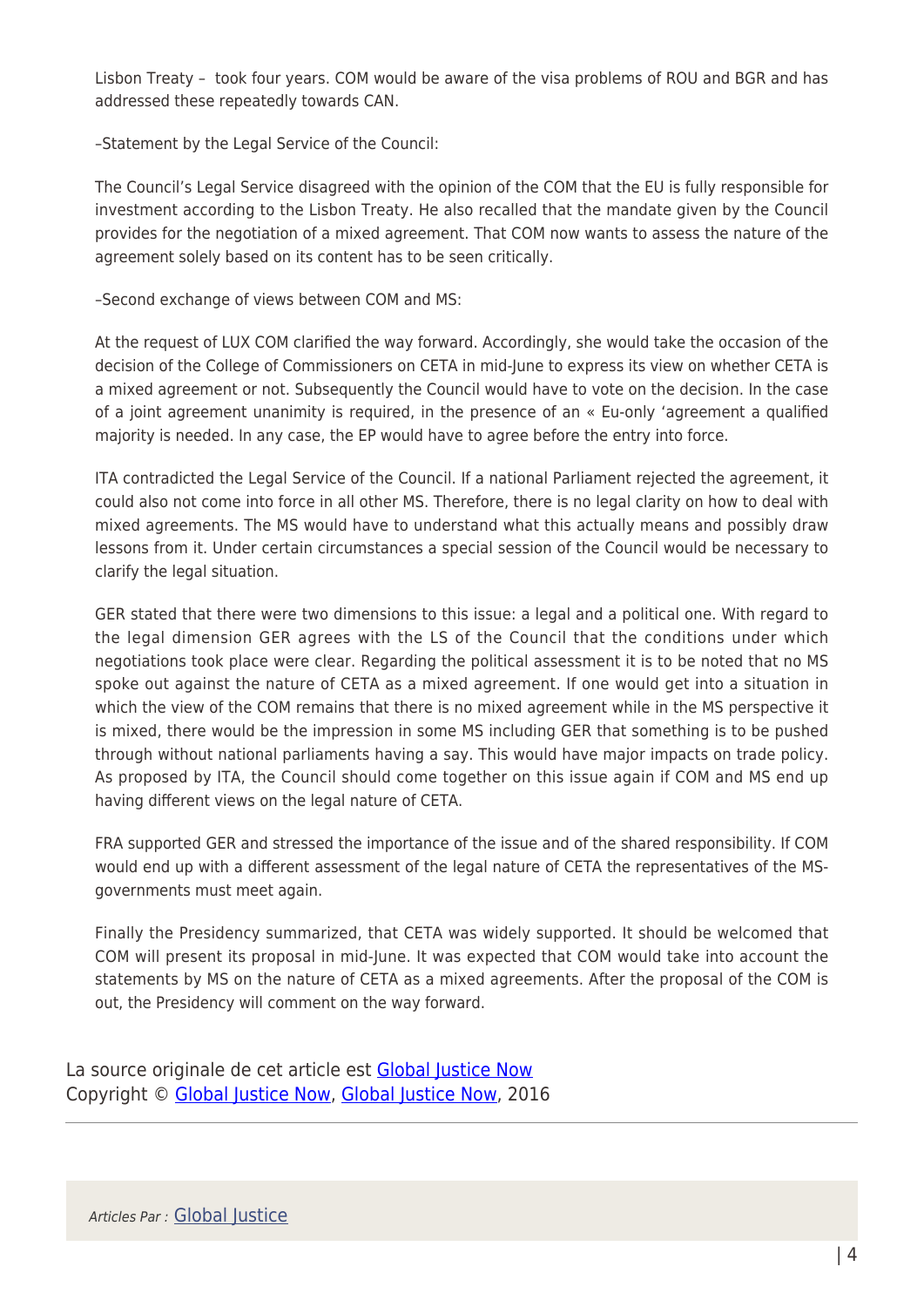Lisbon Treaty – took four years. COM would be aware of the visa problems of ROU and BGR and has addressed these repeatedly towards CAN.

–Statement by the Legal Service of the Council:

The Council's Legal Service disagreed with the opinion of the COM that the EU is fully responsible for investment according to the Lisbon Treaty. He also recalled that the mandate given by the Council provides for the negotiation of a mixed agreement. That COM now wants to assess the nature of the agreement solely based on its content has to be seen critically.

–Second exchange of views between COM and MS:

At the request of LUX COM clarified the way forward. Accordingly, she would take the occasion of the decision of the College of Commissioners on CETA in mid-June to express its view on whether CETA is a mixed agreement or not. Subsequently the Council would have to vote on the decision. In the case of a joint agreement unanimity is required, in the presence of an « Eu-only 'agreement a qualified majority is needed. In any case, the EP would have to agree before the entry into force.

ITA contradicted the Legal Service of the Council. If a national Parliament rejected the agreement, it could also not come into force in all other MS. Therefore, there is no legal clarity on how to deal with mixed agreements. The MS would have to understand what this actually means and possibly draw lessons from it. Under certain circumstances a special session of the Council would be necessary to clarify the legal situation.

GER stated that there were two dimensions to this issue: a legal and a political one. With regard to the legal dimension GER agrees with the LS of the Council that the conditions under which negotiations took place were clear. Regarding the political assessment it is to be noted that no MS spoke out against the nature of CETA as a mixed agreement. If one would get into a situation in which the view of the COM remains that there is no mixed agreement while in the MS perspective it is mixed, there would be the impression in some MS including GER that something is to be pushed through without national parliaments having a say. This would have major impacts on trade policy. As proposed by ITA, the Council should come together on this issue again if COM and MS end up having different views on the legal nature of CETA.

FRA supported GER and stressed the importance of the issue and of the shared responsibility. If COM would end up with a different assessment of the legal nature of CETA the representatives of the MSgovernments must meet again.

Finally the Presidency summarized, that CETA was widely supported. It should be welcomed that COM will present its proposal in mid-June. It was expected that COM would take into account the statements by MS on the nature of CETA as a mixed agreements. After the proposal of the COM is out, the Presidency will comment on the way forward.

La source originale de cet article est [Global Justice Now](http://www.globaljustice.org.uk/news/2016/may/26/leaked-document-shows-cameron-sidelining-uk-parliament-controversial-eu-trade-deal) Copyright © [Global Justice Now](https://www.mondialisation.ca/author/global-justice-now), [Global Justice Now](http://www.globaljustice.org.uk/news/2016/may/26/leaked-document-shows-cameron-sidelining-uk-parliament-controversial-eu-trade-deal), 2016